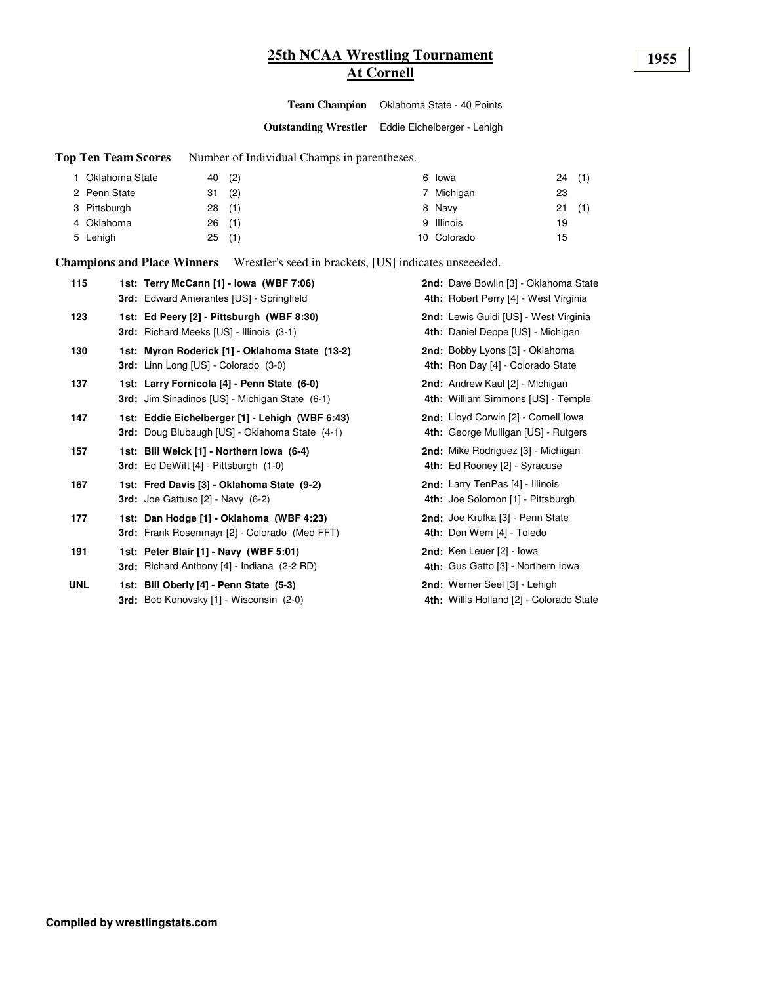# **25th NCAA Wrestling Tournament 1955 At Cornell**

**Team Champion** Oklahoma State - 40 Points

**Outstanding Wrestler** Eddie Eichelberger - Lehigh

**Top Ten Team Scores** Number of Individual Champs in parentheses.

| Oklahoma State | 40(2)     | 6 Iowa      | 24 | (1) |
|----------------|-----------|-------------|----|-----|
| 2 Penn State   | (2)<br>31 | 7 Michigan  | 23 |     |
| 3 Pittsburgh   | 28(1)     | 8 Navy      | 21 | (1) |
| 4 Oklahoma     | 26(1)     | 9 Illinois  | 19 |     |
| 5 Lehigh       | (1)<br>25 | 10 Colorado | 15 |     |

**Champions and Place Winners** Wrestler's seed in brackets, [US] indicates unseeeded.

| 115        | 1st: Terry McCann [1] - Iowa (WBF 7:06)<br><b>3rd:</b> Edward Amerantes [US] - Springfield        | 2nd: Dave Bowlin [3] - Oklahoma State<br>4th: Robert Perry [4] - West Virginia |
|------------|---------------------------------------------------------------------------------------------------|--------------------------------------------------------------------------------|
| 123        | 1st: Ed Peery [2] - Pittsburgh (WBF 8:30)<br><b>3rd:</b> Richard Meeks [US] - Illinois (3-1)      | 2nd: Lewis Guidi [US] - West Virginia<br>4th: Daniel Deppe [US] - Michigan     |
| 130        | 1st: Myron Roderick [1] - Oklahoma State (13-2)<br>3rd: Linn Long [US] - Colorado (3-0)           | 2nd: Bobby Lyons [3] - Oklahoma<br>4th: Ron Day [4] - Colorado State           |
| 137        | 1st: Larry Fornicola [4] - Penn State (6-0)<br>3rd: Jim Sinadinos [US] - Michigan State (6-1)     | 2nd: Andrew Kaul [2] - Michigan<br>4th: William Simmons [US] - Temple          |
| 147        | 1st: Eddie Eichelberger [1] - Lehigh (WBF 6:43)<br>3rd: Doug Blubaugh [US] - Oklahoma State (4-1) | 2nd: Lloyd Corwin [2] - Cornell Iowa<br>4th: George Mulligan [US] - Rutgers    |
| 157        | 1st: Bill Weick [1] - Northern Iowa (6-4)<br><b>3rd:</b> Ed DeWitt [4] - Pittsburgh (1-0)         | 2nd: Mike Rodriguez [3] - Michigan<br>4th: Ed Rooney [2] - Syracuse            |
| 167        | 1st: Fred Davis [3] - Oklahoma State (9-2)<br>3rd: Joe Gattuso [2] - Navy (6-2)                   | 2nd: Larry TenPas [4] - Illinois<br>4th: Joe Solomon [1] - Pittsburgh          |
| 177        | 1st: Dan Hodge [1] - Oklahoma (WBF 4:23)<br>3rd: Frank Rosenmayr [2] - Colorado (Med FFT)         | 2nd: Joe Krufka [3] - Penn State<br>4th: Don Wem [4] - Toledo                  |
| 191        | 1st: Peter Blair [1] - Navy (WBF 5:01)<br>3rd: Richard Anthony [4] - Indiana (2-2 RD)             | 2nd: Ken Leuer [2] - lowa<br>4th: Gus Gatto [3] - Northern Iowa                |
| <b>UNL</b> | 1st: Bill Oberly [4] - Penn State (5-3)<br><b>3rd:</b> Bob Konovsky [1] - Wisconsin (2-0)         | 2nd: Werner Seel [3] - Lehigh<br>4th: Willis Holland [2] - Colorado State      |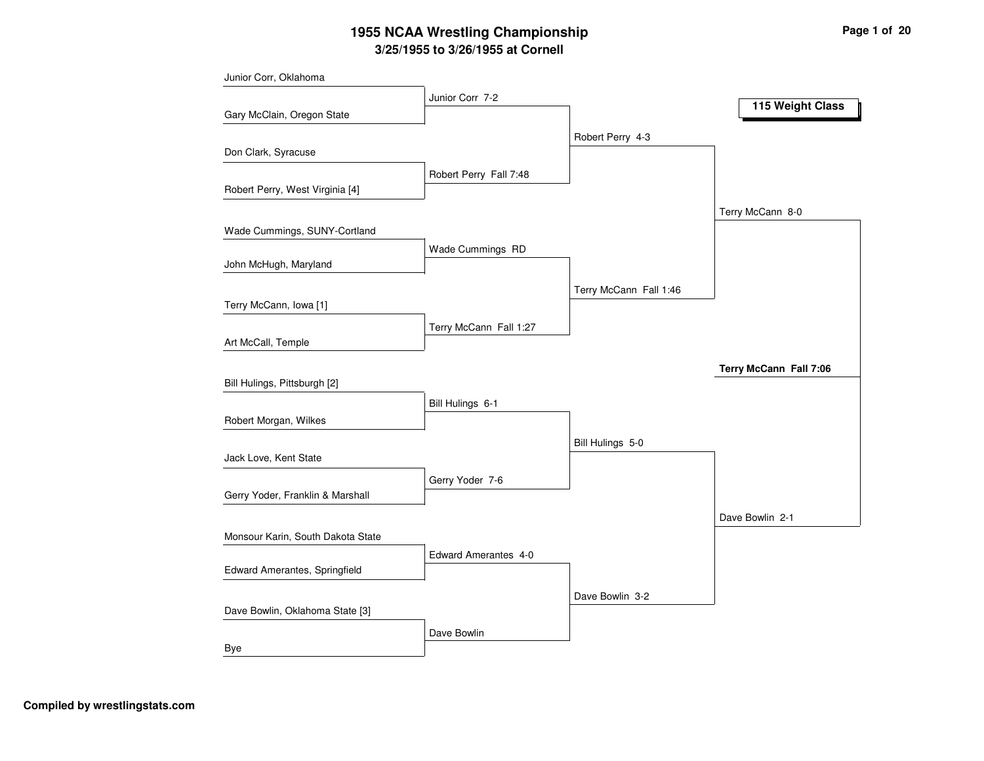# **3/25/1955 to 3/26/1955 at Cornell 1955 NCAA Wrestling Championship Page <sup>1</sup> of <sup>20</sup>**

| Junior Corr, Oklahoma             |                        |                        |                        |
|-----------------------------------|------------------------|------------------------|------------------------|
|                                   | Junior Corr 7-2        |                        | 115 Weight Class       |
| Gary McClain, Oregon State        |                        |                        |                        |
|                                   |                        | Robert Perry 4-3       |                        |
| Don Clark, Syracuse               |                        |                        |                        |
|                                   | Robert Perry Fall 7:48 |                        |                        |
| Robert Perry, West Virginia [4]   |                        |                        |                        |
|                                   |                        |                        | Terry McCann 8-0       |
| Wade Cummings, SUNY-Cortland      |                        |                        |                        |
| John McHugh, Maryland             | Wade Cummings RD       |                        |                        |
|                                   |                        |                        |                        |
|                                   |                        | Terry McCann Fall 1:46 |                        |
| Terry McCann, Iowa [1]            |                        |                        |                        |
|                                   | Terry McCann Fall 1:27 |                        |                        |
| Art McCall, Temple                |                        |                        |                        |
|                                   |                        |                        | Terry McCann Fall 7:06 |
| Bill Hulings, Pittsburgh [2]      |                        |                        |                        |
|                                   | Bill Hulings 6-1       |                        |                        |
| Robert Morgan, Wilkes             |                        |                        |                        |
|                                   |                        | Bill Hulings 5-0       |                        |
| Jack Love, Kent State             |                        |                        |                        |
| Gerry Yoder, Franklin & Marshall  | Gerry Yoder 7-6        |                        |                        |
|                                   |                        |                        |                        |
|                                   |                        |                        | Dave Bowlin 2-1        |
| Monsour Karin, South Dakota State |                        |                        |                        |
| Edward Amerantes, Springfield     | Edward Amerantes 4-0   |                        |                        |
|                                   |                        |                        |                        |
| Dave Bowlin, Oklahoma State [3]   |                        | Dave Bowlin 3-2        |                        |
|                                   |                        |                        |                        |
| Bye                               | Dave Bowlin            |                        |                        |
|                                   |                        |                        |                        |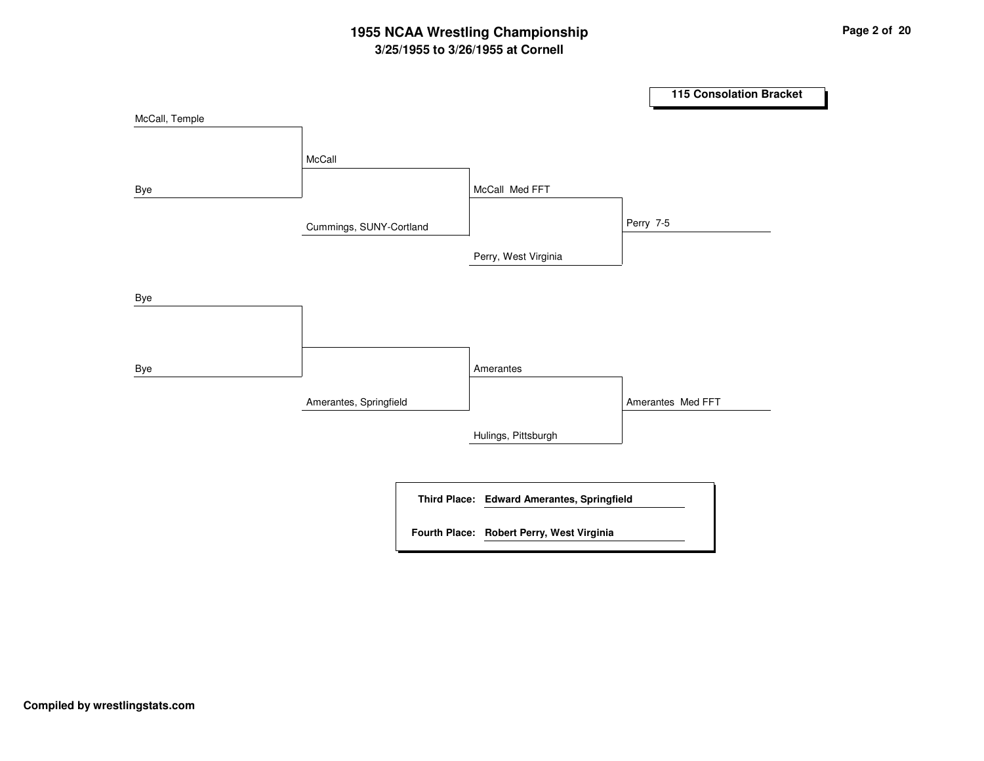# **3/25/1955 to 3/26/1955 at Cornell 1955 NCAA Wrestling Championship Page <sup>2</sup> of <sup>20</sup>**

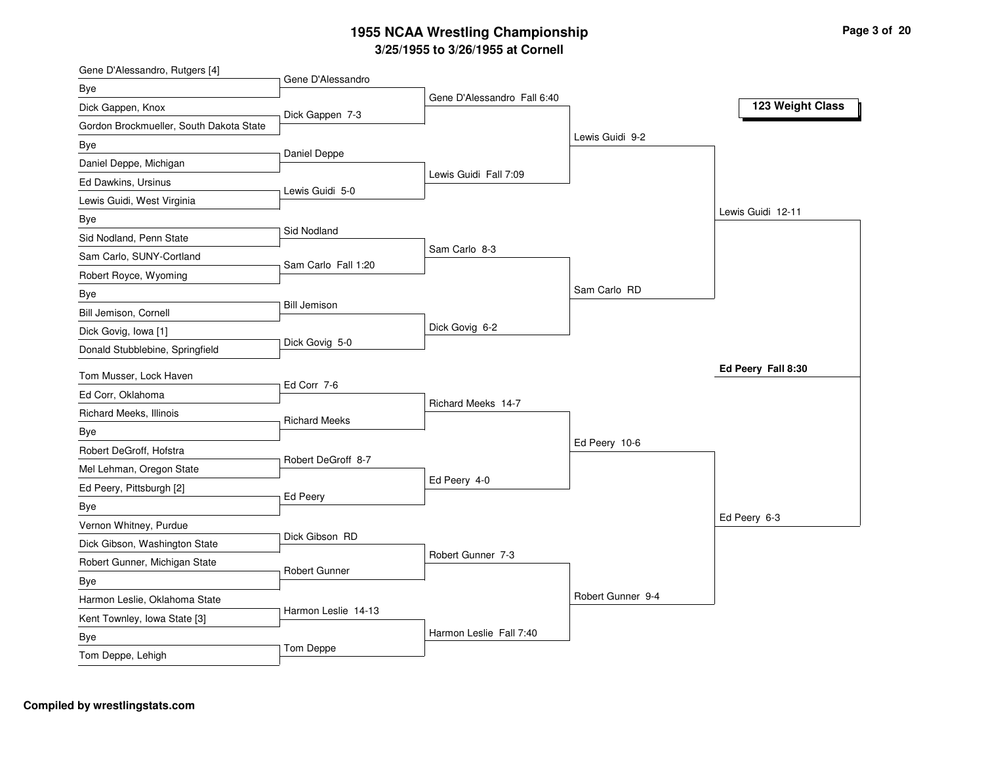| Gene D'Alessandro, Rutgers [4]              |                      |                             |                   |                    |
|---------------------------------------------|----------------------|-----------------------------|-------------------|--------------------|
| Bye                                         | Gene D'Alessandro    |                             |                   |                    |
| Dick Gappen, Knox                           | Dick Gappen 7-3      | Gene D'Alessandro Fall 6:40 |                   | 123 Weight Class   |
| Gordon Brockmueller, South Dakota State     |                      |                             |                   |                    |
| Bye                                         |                      |                             | Lewis Guidi 9-2   |                    |
| Daniel Deppe, Michigan                      | Daniel Deppe         |                             |                   |                    |
| Ed Dawkins, Ursinus                         |                      | Lewis Guidi Fall 7:09       |                   |                    |
| Lewis Guidi, West Virginia                  | Lewis Guidi 5-0      |                             |                   |                    |
| Bye                                         |                      |                             |                   | Lewis Guidi 12-11  |
| Sid Nodland, Penn State                     | Sid Nodland          |                             |                   |                    |
| Sam Carlo, SUNY-Cortland                    |                      | Sam Carlo 8-3               |                   |                    |
| Robert Royce, Wyoming                       | Sam Carlo Fall 1:20  |                             |                   |                    |
| Bye                                         |                      |                             | Sam Carlo RD      |                    |
| Bill Jemison, Cornell                       | <b>Bill Jemison</b>  |                             |                   |                    |
| Dick Govig, Iowa [1]                        |                      | Dick Govig 6-2              |                   |                    |
| Donald Stubblebine, Springfield             | Dick Govig 5-0       |                             |                   |                    |
|                                             |                      |                             |                   | Ed Peery Fall 8:30 |
| Tom Musser, Lock Haven<br>Ed Corr, Oklahoma | Ed Corr 7-6          |                             |                   |                    |
|                                             |                      | Richard Meeks 14-7          |                   |                    |
| Richard Meeks, Illinois                     | <b>Richard Meeks</b> |                             |                   |                    |
| Bye                                         |                      |                             | Ed Peery 10-6     |                    |
| Robert DeGroff, Hofstra                     | Robert DeGroff 8-7   |                             |                   |                    |
| Mel Lehman, Oregon State                    |                      | Ed Peery 4-0                |                   |                    |
| Ed Peery, Pittsburgh [2]                    | Ed Peery             |                             |                   |                    |
| Bye                                         |                      |                             |                   | Ed Peery 6-3       |
| Vernon Whitney, Purdue                      | Dick Gibson RD       |                             |                   |                    |
| Dick Gibson, Washington State               |                      | Robert Gunner 7-3           |                   |                    |
| Robert Gunner, Michigan State               | Robert Gunner        |                             |                   |                    |
| Bye                                         |                      |                             | Robert Gunner 9-4 |                    |
| Harmon Leslie, Oklahoma State               |                      |                             |                   |                    |
|                                             |                      |                             |                   |                    |
| Kent Townley, Iowa State [3]                | Harmon Leslie 14-13  |                             |                   |                    |
| Bye<br>Tom Deppe, Lehigh                    | Tom Deppe            | Harmon Leslie Fall 7:40     |                   |                    |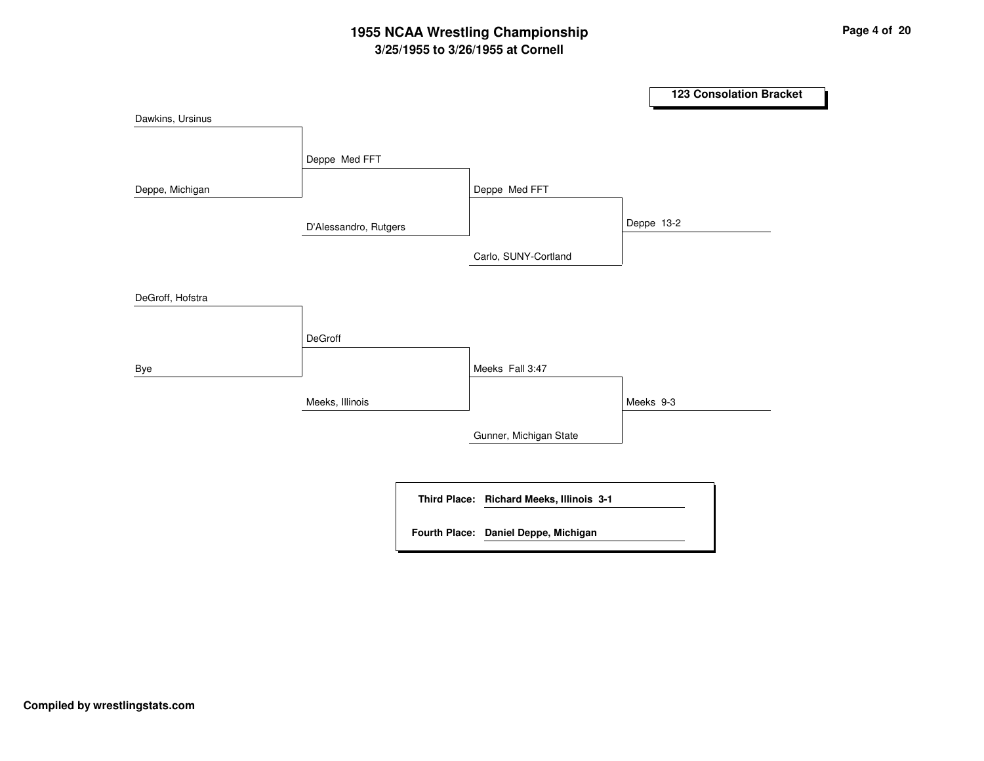# **3/25/1955 to 3/26/1955 at Cornell 1955 NCAA Wrestling Championship Page <sup>4</sup> of <sup>20</sup>**

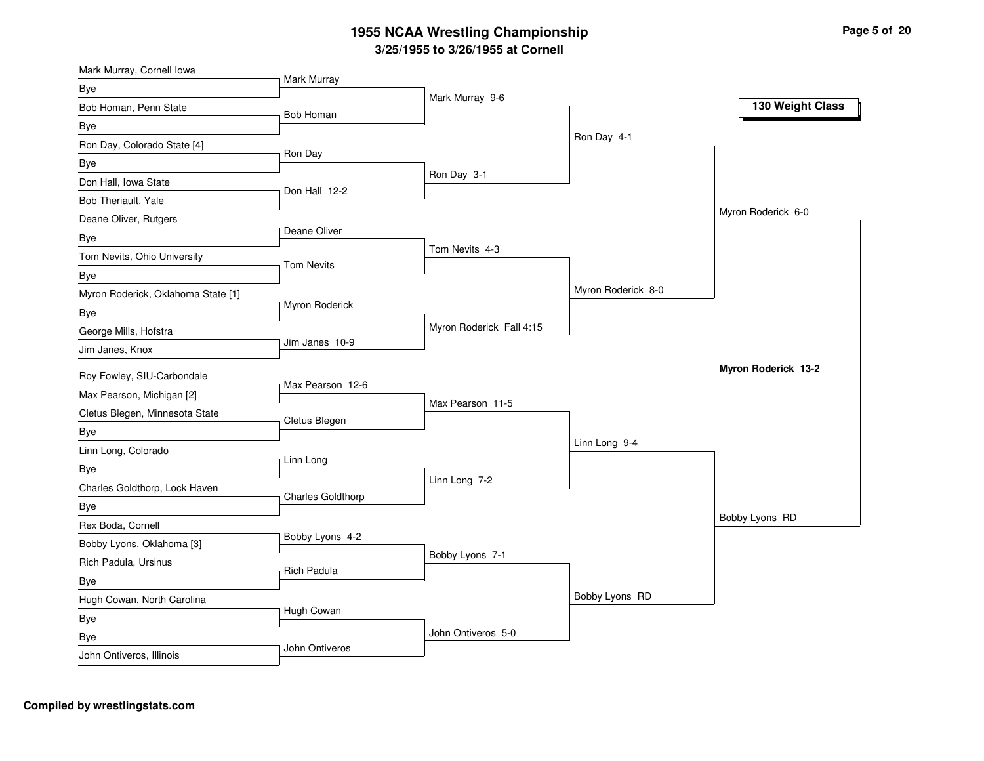| Mark Murray, Cornell Iowa          |                    |                          |                    |                     |
|------------------------------------|--------------------|--------------------------|--------------------|---------------------|
| Bye                                | Mark Murray        | Mark Murray 9-6          |                    |                     |
| Bob Homan, Penn State              | Bob Homan          |                          |                    | 130 Weight Class    |
| Bye                                |                    |                          |                    |                     |
| Ron Day, Colorado State [4]        |                    |                          | Ron Day 4-1        |                     |
| Bye                                | Ron Day            |                          |                    |                     |
| Don Hall, Iowa State               | Don Hall 12-2      | Ron Day 3-1              |                    |                     |
| Bob Theriault, Yale                |                    |                          |                    |                     |
| Deane Oliver, Rutgers              |                    |                          |                    | Myron Roderick 6-0  |
| Bye                                | Deane Oliver       |                          |                    |                     |
| Tom Nevits, Ohio University        | <b>Tom Nevits</b>  | Tom Nevits 4-3           |                    |                     |
| Bye                                |                    |                          |                    |                     |
| Myron Roderick, Oklahoma State [1] |                    |                          | Myron Roderick 8-0 |                     |
| Bye                                | Myron Roderick     |                          |                    |                     |
| George Mills, Hofstra              |                    | Myron Roderick Fall 4:15 |                    |                     |
| Jim Janes, Knox                    | Jim Janes 10-9     |                          |                    |                     |
| Roy Fowley, SIU-Carbondale         |                    |                          |                    | Myron Roderick 13-2 |
| Max Pearson, Michigan [2]          | Max Pearson 12-6   |                          |                    |                     |
| Cletus Blegen, Minnesota State     |                    | Max Pearson 11-5         |                    |                     |
| Bye                                | Cletus Blegen      |                          |                    |                     |
| Linn Long, Colorado                |                    |                          | Linn Long 9-4      |                     |
| Bye                                | Linn Long          |                          |                    |                     |
| Charles Goldthorp, Lock Haven      |                    | Linn Long 7-2            |                    |                     |
| Bye                                | Charles Goldthorp  |                          |                    |                     |
| Rex Boda, Cornell                  |                    |                          |                    | Bobby Lyons RD      |
| Bobby Lyons, Oklahoma [3]          | Bobby Lyons 4-2    |                          |                    |                     |
|                                    |                    |                          |                    |                     |
|                                    |                    | Bobby Lyons 7-1          |                    |                     |
| Rich Padula, Ursinus               | <b>Rich Padula</b> |                          |                    |                     |
| Bye                                |                    |                          | Bobby Lyons RD     |                     |
| Hugh Cowan, North Carolina         | Hugh Cowan         |                          |                    |                     |
| Bye<br>Bye                         |                    | John Ontiveros 5-0       |                    |                     |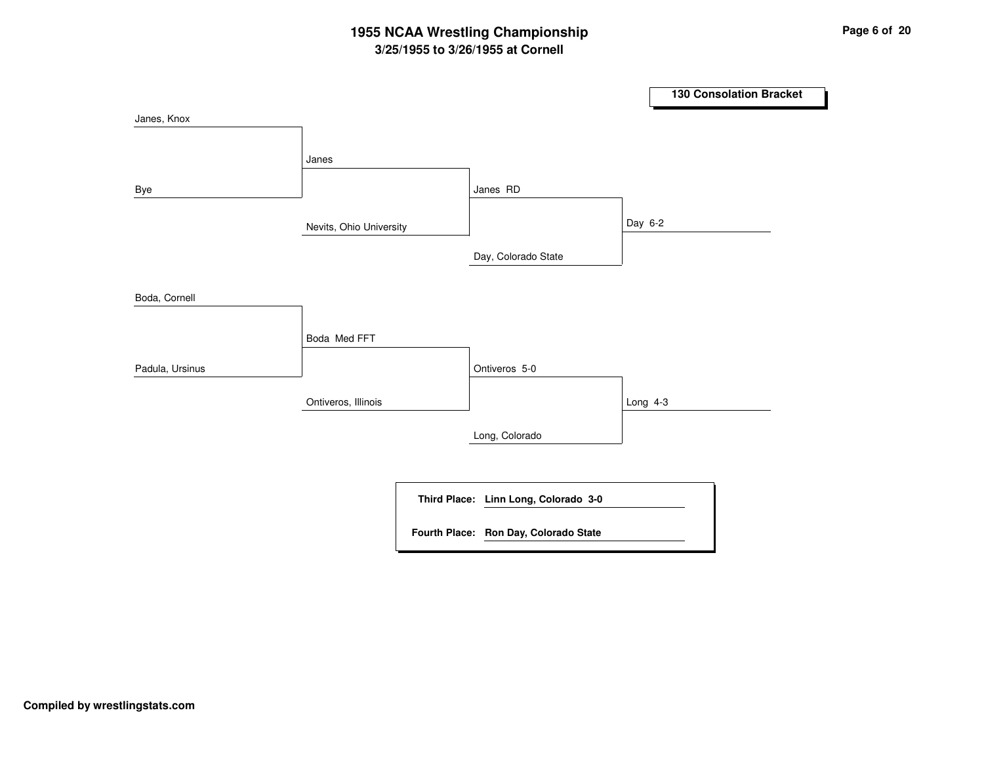# **3/25/1955 to 3/26/1955 at Cornell 1955 NCAA Wrestling Championship Page <sup>6</sup> of <sup>20</sup>**

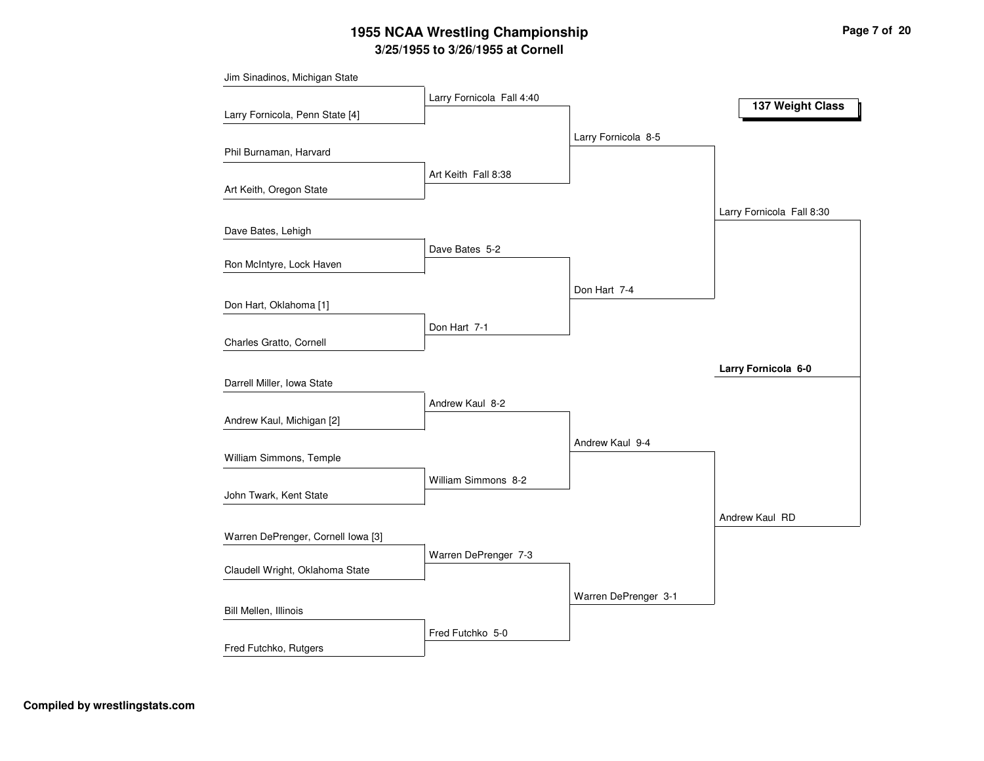# **3/25/1955 to 3/26/1955 at Cornell 1955 NCAA Wrestling Championship Page <sup>7</sup> of <sup>20</sup>**

|                                    | Larry Fornicola Fall 4:40 |                      |                           |
|------------------------------------|---------------------------|----------------------|---------------------------|
| Larry Fornicola, Penn State [4]    |                           |                      | 137 Weight Class          |
|                                    |                           | Larry Fornicola 8-5  |                           |
| Phil Burnaman, Harvard             |                           |                      |                           |
|                                    | Art Keith Fall 8:38       |                      |                           |
| Art Keith, Oregon State            |                           |                      |                           |
|                                    |                           |                      | Larry Fornicola Fall 8:30 |
| Dave Bates, Lehigh                 |                           |                      |                           |
|                                    | Dave Bates 5-2            |                      |                           |
| Ron McIntyre, Lock Haven           |                           |                      |                           |
|                                    |                           | Don Hart 7-4         |                           |
| Don Hart, Oklahoma [1]             |                           |                      |                           |
|                                    | Don Hart 7-1              |                      |                           |
| Charles Gratto, Cornell            |                           |                      |                           |
|                                    |                           |                      | Larry Fornicola 6-0       |
| Darrell Miller, Iowa State         |                           |                      |                           |
|                                    | Andrew Kaul 8-2           |                      |                           |
| Andrew Kaul, Michigan [2]          |                           |                      |                           |
|                                    |                           | Andrew Kaul 9-4      |                           |
| William Simmons, Temple            |                           |                      |                           |
| John Twark, Kent State             | William Simmons 8-2       |                      |                           |
|                                    |                           |                      |                           |
|                                    |                           |                      | Andrew Kaul RD            |
| Warren DePrenger, Cornell Iowa [3] |                           |                      |                           |
| Claudell Wright, Oklahoma State    | Warren DePrenger 7-3      |                      |                           |
|                                    |                           |                      |                           |
| Bill Mellen, Illinois              |                           | Warren DePrenger 3-1 |                           |
|                                    |                           |                      |                           |
| Fred Futchko, Rutgers              | Fred Futchko 5-0          |                      |                           |
|                                    |                           |                      |                           |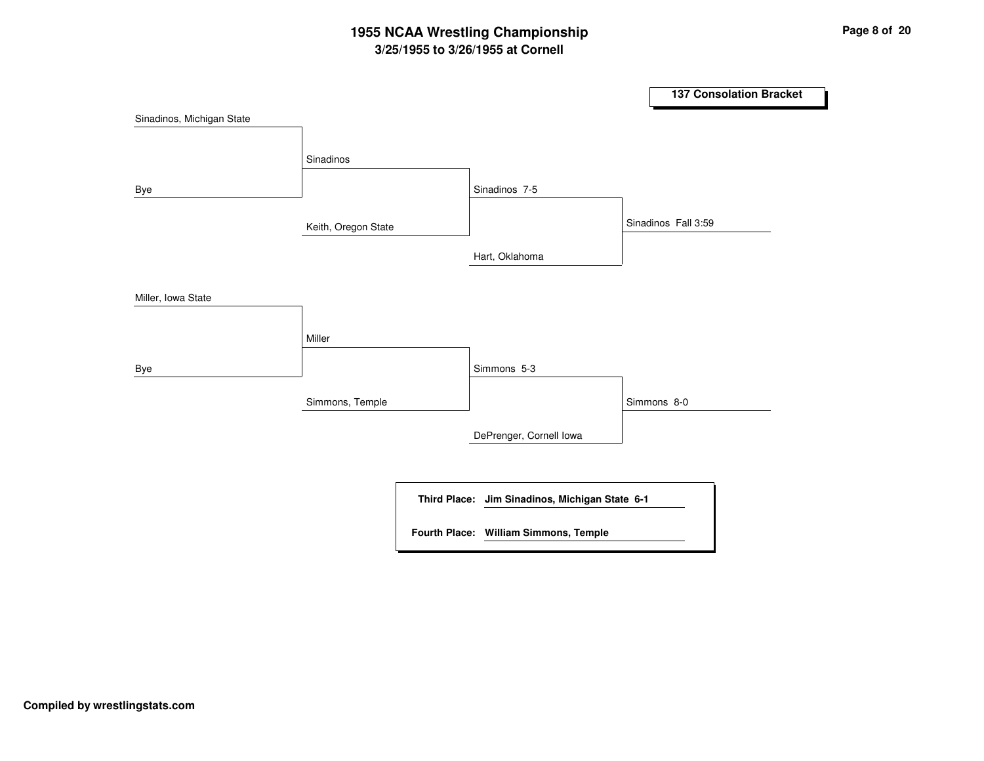# **3/25/1955 to 3/26/1955 at Cornell 1955 NCAA Wrestling Championship Page <sup>8</sup> of <sup>20</sup>**

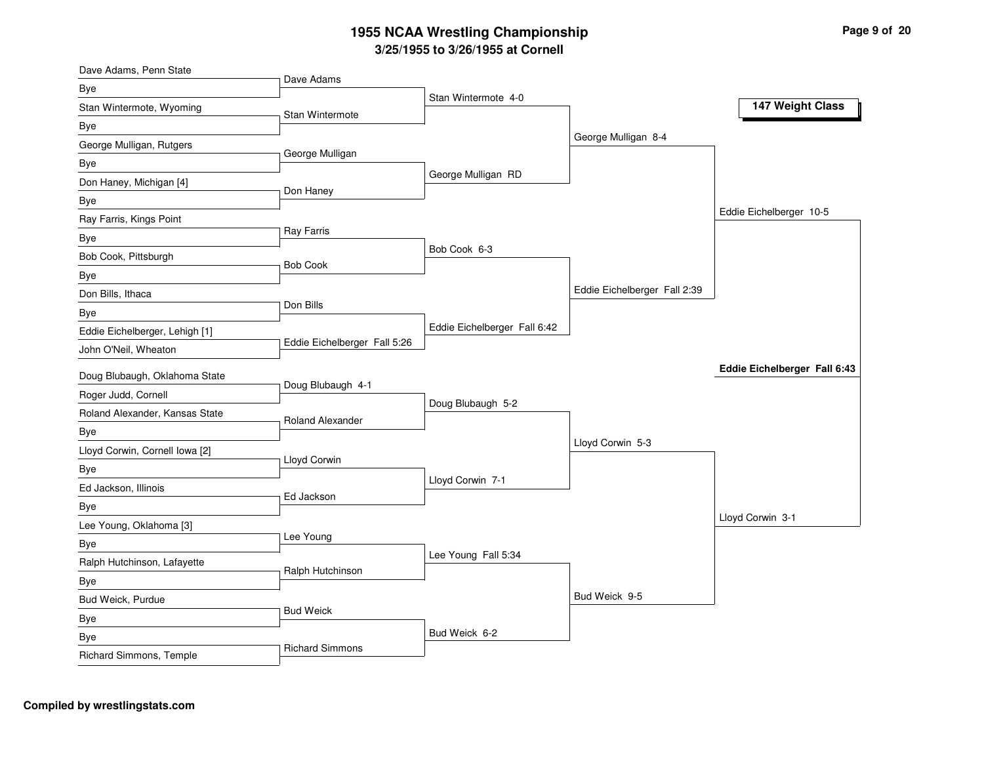| Dave Adams, Penn State         |                              |                              |                              |                              |
|--------------------------------|------------------------------|------------------------------|------------------------------|------------------------------|
| Bye                            | Dave Adams                   | Stan Wintermote 4-0          |                              |                              |
| Stan Wintermote, Wyoming       | Stan Wintermote              |                              |                              | 147 Weight Class             |
| Bye                            |                              |                              |                              |                              |
| George Mulligan, Rutgers       |                              |                              | George Mulligan 8-4          |                              |
| Bye                            | George Mulligan              |                              |                              |                              |
| Don Haney, Michigan [4]        | Don Haney                    | George Mulligan RD           |                              |                              |
| Bye                            |                              |                              |                              |                              |
| Ray Farris, Kings Point        |                              |                              |                              | Eddie Eichelberger 10-5      |
| Bye                            | Ray Farris                   |                              |                              |                              |
| Bob Cook, Pittsburgh           | <b>Bob Cook</b>              | Bob Cook 6-3                 |                              |                              |
| Bye                            |                              |                              |                              |                              |
| Don Bills, Ithaca              |                              |                              | Eddie Eichelberger Fall 2:39 |                              |
| Bye                            | Don Bills                    |                              |                              |                              |
| Eddie Eichelberger, Lehigh [1] |                              | Eddie Eichelberger Fall 6:42 |                              |                              |
| John O'Neil, Wheaton           | Eddie Eichelberger Fall 5:26 |                              |                              |                              |
| Doug Blubaugh, Oklahoma State  |                              |                              |                              | Eddie Eichelberger Fall 6:43 |
| Roger Judd, Cornell            | Doug Blubaugh 4-1            |                              |                              |                              |
| Roland Alexander, Kansas State |                              | Doug Blubaugh 5-2            |                              |                              |
| Bye                            | Roland Alexander             |                              |                              |                              |
| Lloyd Corwin, Cornell Iowa [2] |                              |                              | Lloyd Corwin 5-3             |                              |
| Bye                            | Lloyd Corwin                 |                              |                              |                              |
| Ed Jackson, Illinois           |                              | Lloyd Corwin 7-1             |                              |                              |
| Bye                            | Ed Jackson                   |                              |                              |                              |
| Lee Young, Oklahoma [3]        |                              |                              |                              | Lloyd Corwin 3-1             |
| Bye                            | Lee Young                    |                              |                              |                              |
| Ralph Hutchinson, Lafayette    |                              | Lee Young Fall 5:34          |                              |                              |
| Bye                            | Ralph Hutchinson             |                              |                              |                              |
| Bud Weick, Purdue              |                              |                              | Bud Weick 9-5                |                              |
| Bye                            | <b>Bud Weick</b>             |                              |                              |                              |
| Bye                            |                              | Bud Weick 6-2                |                              |                              |
| Richard Simmons, Temple        | <b>Richard Simmons</b>       |                              |                              |                              |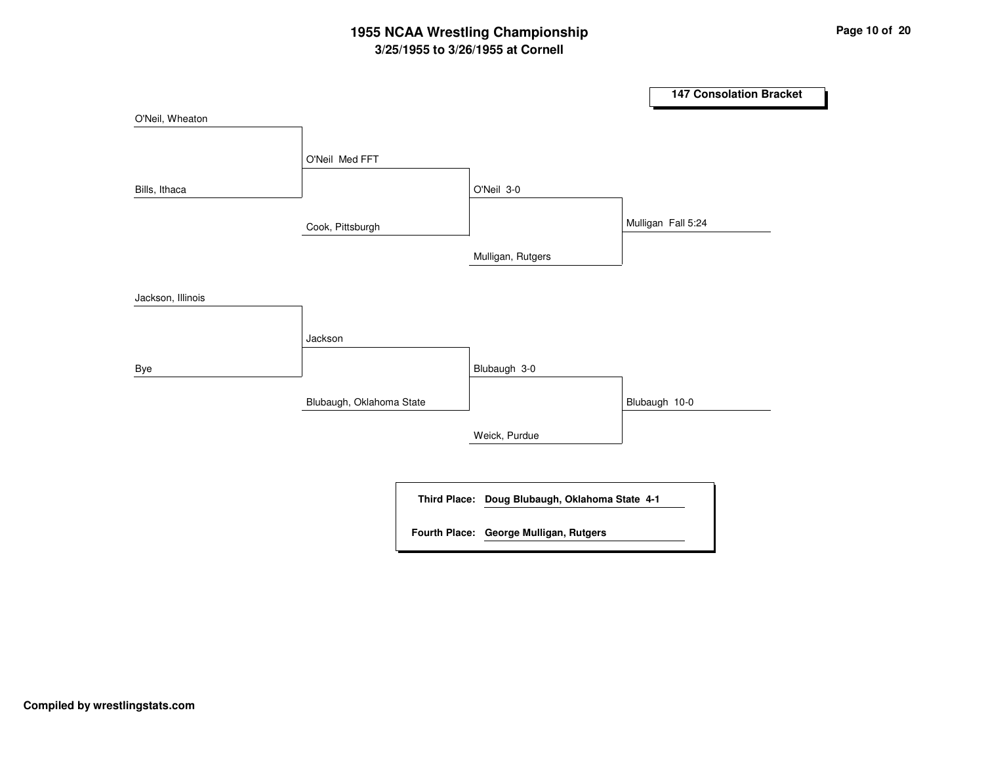# **3/25/1955 to 3/26/1955 at Cornell 1955 NCAA Wrestling Championship Page <sup>10</sup> of <sup>20</sup>**

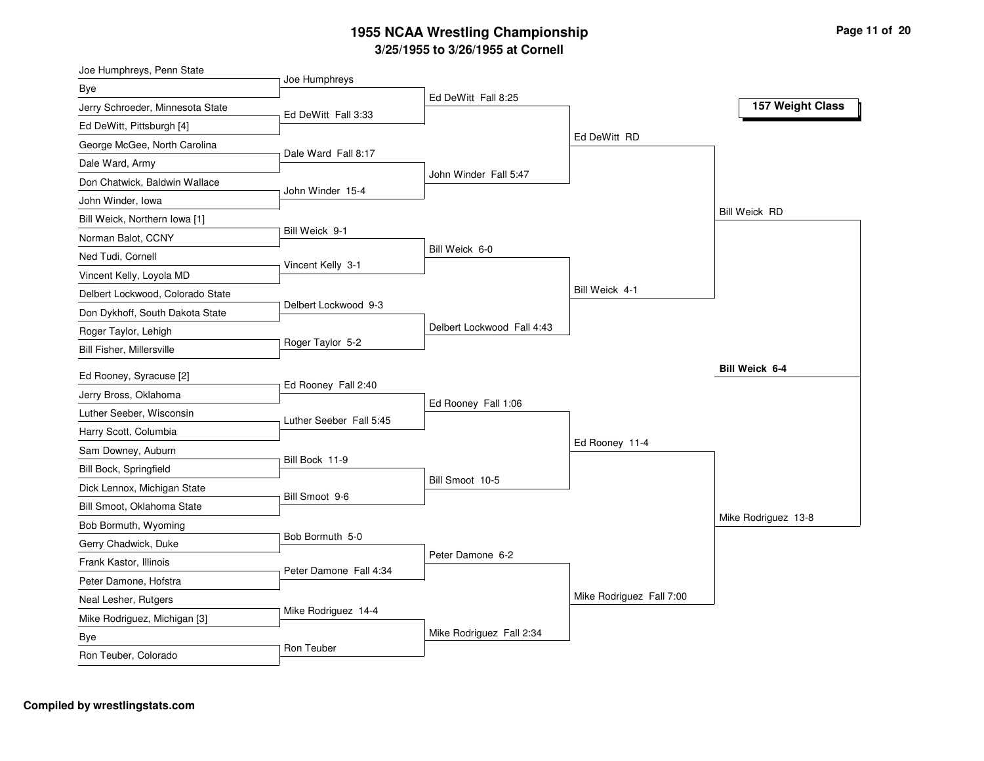| Joe Humphreys, Penn State        |                         |                            |                          |                      |
|----------------------------------|-------------------------|----------------------------|--------------------------|----------------------|
| Bye                              | Joe Humphreys           | Ed DeWitt Fall 8:25        |                          |                      |
| Jerry Schroeder, Minnesota State | Ed DeWitt Fall 3:33     |                            |                          | 157 Weight Class     |
| Ed DeWitt, Pittsburgh [4]        |                         |                            |                          |                      |
| George McGee, North Carolina     |                         |                            | Ed DeWitt RD             |                      |
| Dale Ward, Army                  | Dale Ward Fall 8:17     |                            |                          |                      |
| Don Chatwick, Baldwin Wallace    | John Winder 15-4        | John Winder Fall 5:47      |                          |                      |
| John Winder, Iowa                |                         |                            |                          |                      |
| Bill Weick, Northern Iowa [1]    |                         |                            |                          | <b>Bill Weick RD</b> |
| Norman Balot, CCNY               | Bill Weick 9-1          |                            |                          |                      |
| Ned Tudi, Cornell                | Vincent Kelly 3-1       | Bill Weick 6-0             |                          |                      |
| Vincent Kelly, Loyola MD         |                         |                            |                          |                      |
| Delbert Lockwood, Colorado State |                         |                            | Bill Weick 4-1           |                      |
| Don Dykhoff, South Dakota State  | Delbert Lockwood 9-3    |                            |                          |                      |
| Roger Taylor, Lehigh             |                         | Delbert Lockwood Fall 4:43 |                          |                      |
| Bill Fisher, Millersville        | Roger Taylor 5-2        |                            |                          |                      |
| Ed Rooney, Syracuse [2]          |                         |                            |                          | Bill Weick 6-4       |
| Jerry Bross, Oklahoma            | Ed Rooney Fall 2:40     |                            |                          |                      |
| Luther Seeber, Wisconsin         |                         | Ed Rooney Fall 1:06        |                          |                      |
| Harry Scott, Columbia            | Luther Seeber Fall 5:45 |                            |                          |                      |
| Sam Downey, Auburn               |                         |                            | Ed Rooney 11-4           |                      |
| Bill Bock, Springfield           | Bill Bock 11-9          |                            |                          |                      |
| Dick Lennox, Michigan State      |                         | Bill Smoot 10-5            |                          |                      |
| Bill Smoot, Oklahoma State       | Bill Smoot 9-6          |                            |                          |                      |
| Bob Bormuth, Wyoming             |                         |                            |                          | Mike Rodriguez 13-8  |
| Gerry Chadwick, Duke             | Bob Bormuth 5-0         |                            |                          |                      |
| Frank Kastor, Illinois           |                         | Peter Damone 6-2           |                          |                      |
| Peter Damone, Hofstra            | Peter Damone Fall 4:34  |                            |                          |                      |
| Neal Lesher, Rutgers             |                         |                            | Mike Rodriguez Fall 7:00 |                      |
| Mike Rodriguez, Michigan [3]     | Mike Rodriguez 14-4     |                            |                          |                      |
| Bye                              |                         | Mike Rodriguez Fall 2:34   |                          |                      |
| Ron Teuber, Colorado             | Ron Teuber              |                            |                          |                      |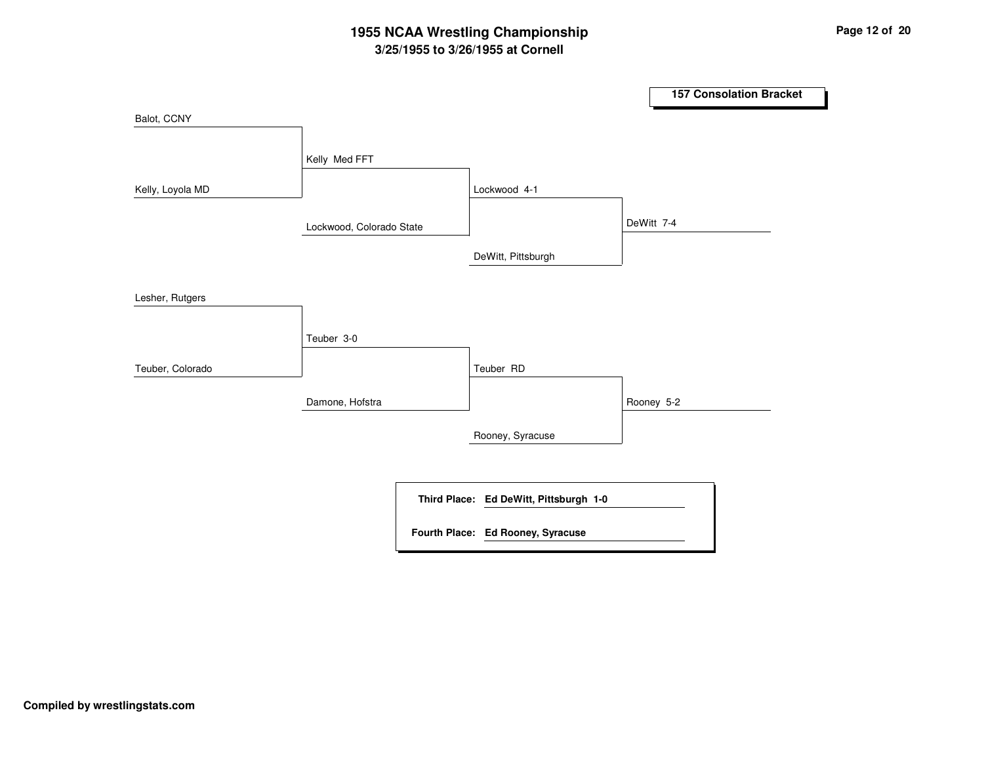# **3/25/1955 to 3/26/1955 at Cornell 1955 NCAA Wrestling Championship Page <sup>12</sup> of <sup>20</sup>**

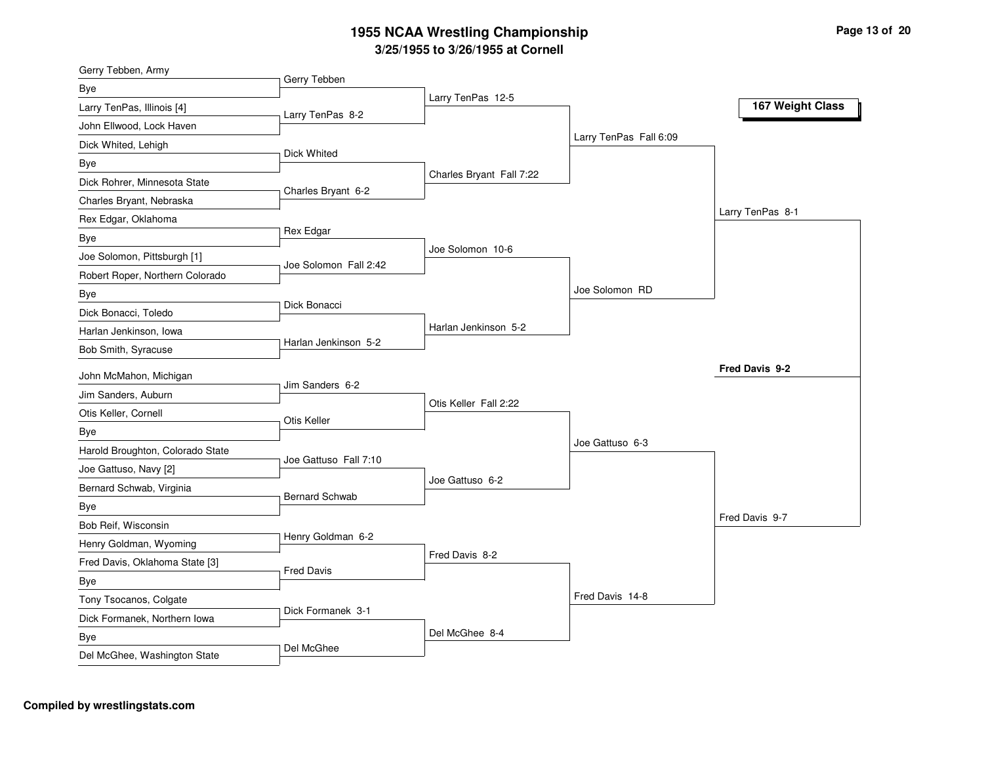| Gerry Tebben, Army                                       |                          |                        |                  |
|----------------------------------------------------------|--------------------------|------------------------|------------------|
| Gerry Tebben<br>Bye                                      |                          |                        |                  |
| Larry TenPas, Illinois [4]<br>Larry TenPas 8-2           | Larry TenPas 12-5        |                        | 167 Weight Class |
| John Ellwood, Lock Haven                                 |                          |                        |                  |
| Dick Whited, Lehigh                                      |                          | Larry TenPas Fall 6:09 |                  |
| Dick Whited<br>Bye                                       |                          |                        |                  |
| Dick Rohrer, Minnesota State                             | Charles Bryant Fall 7:22 |                        |                  |
| Charles Bryant 6-2<br>Charles Bryant, Nebraska           |                          |                        |                  |
| Rex Edgar, Oklahoma                                      |                          |                        | Larry TenPas 8-1 |
| Rex Edgar<br>Bye                                         |                          |                        |                  |
| Joe Solomon, Pittsburgh [1]                              | Joe Solomon 10-6         |                        |                  |
| Joe Solomon Fall 2:42<br>Robert Roper, Northern Colorado |                          |                        |                  |
| Bye                                                      |                          | Joe Solomon RD         |                  |
| Dick Bonacci<br>Dick Bonacci, Toledo                     |                          |                        |                  |
| Harlan Jenkinson, Iowa                                   | Harlan Jenkinson 5-2     |                        |                  |
| Harlan Jenkinson 5-2<br>Bob Smith, Syracuse              |                          |                        |                  |
| John McMahon, Michigan                                   |                          |                        | Fred Davis 9-2   |
| Jim Sanders 6-2<br>Jim Sanders, Auburn                   |                          |                        |                  |
| Otis Keller, Cornell                                     | Otis Keller Fall 2:22    |                        |                  |
| Otis Keller<br>Bye                                       |                          |                        |                  |
| Harold Broughton, Colorado State                         |                          | Joe Gattuso 6-3        |                  |
| Joe Gattuso Fall 7:10<br>Joe Gattuso, Navy [2]           |                          |                        |                  |
| Bernard Schwab, Virginia                                 | Joe Gattuso 6-2          |                        |                  |
| <b>Bernard Schwab</b><br>Bye                             |                          |                        |                  |
| Bob Reif, Wisconsin                                      |                          |                        | Fred Davis 9-7   |
| Henry Goldman 6-2<br>Henry Goldman, Wyoming              |                          |                        |                  |
| Fred Davis, Oklahoma State [3]                           | Fred Davis 8-2           |                        |                  |
| <b>Fred Davis</b>                                        |                          |                        |                  |
| <b>Bye</b><br>Tony Tsocanos, Colgate                     |                          |                        |                  |
| Dick Formanek 3-1<br>Dick Formanek, Northern Iowa        |                          | Fred Davis 14-8        |                  |
|                                                          |                          |                        |                  |
| Bye                                                      | Del McGhee 8-4           |                        |                  |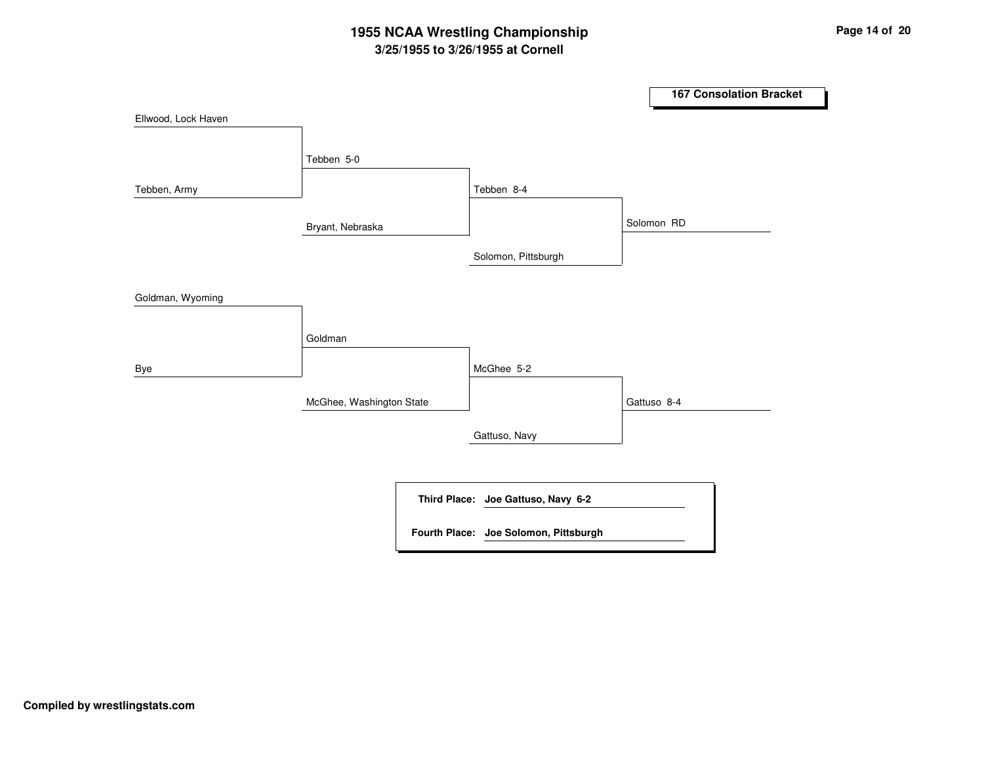# **3/25/1955 to 3/26/1955 at Cornell 1955 NCAA Wrestling Championship Page <sup>14</sup> of <sup>20</sup>**

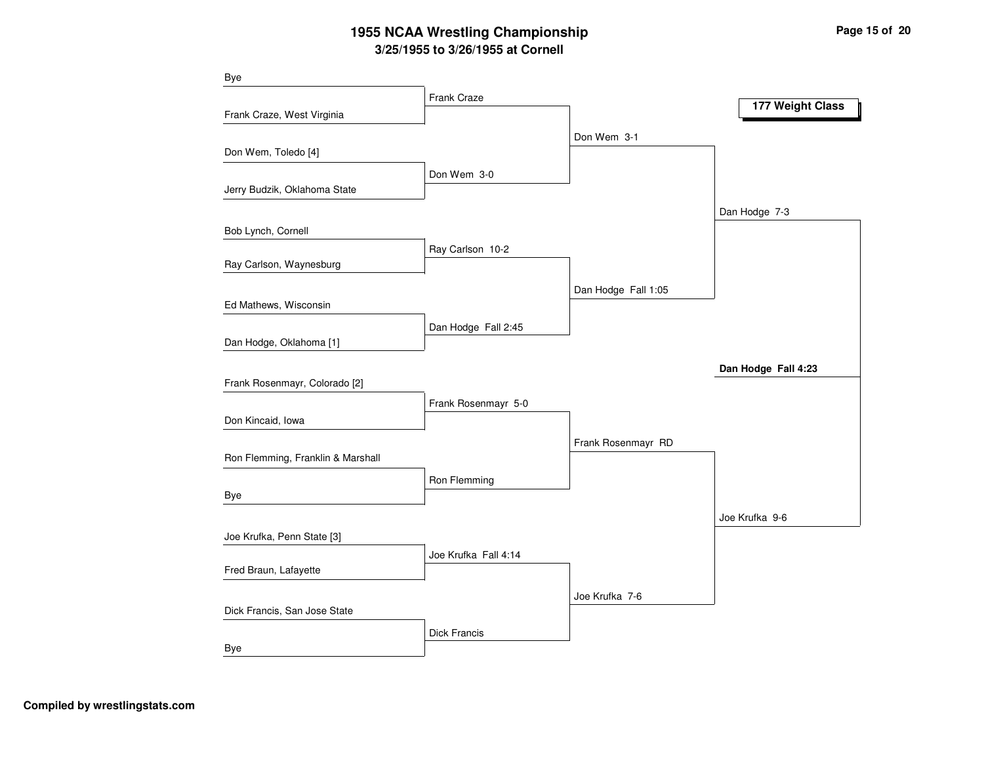# **3/25/1955 to 3/26/1955 at Cornell 1955 NCAA Wrestling Championship Page <sup>15</sup> of <sup>20</sup>**

| <b>Bye</b>                        |                      |                     |                     |
|-----------------------------------|----------------------|---------------------|---------------------|
|                                   | Frank Craze          |                     | 177 Weight Class    |
| Frank Craze, West Virginia        |                      |                     |                     |
|                                   |                      | Don Wem 3-1         |                     |
| Don Wem, Toledo [4]               |                      |                     |                     |
|                                   | Don Wem 3-0          |                     |                     |
| Jerry Budzik, Oklahoma State      |                      |                     |                     |
|                                   |                      |                     | Dan Hodge 7-3       |
| Bob Lynch, Cornell                |                      |                     |                     |
| Ray Carlson, Waynesburg           | Ray Carlson 10-2     |                     |                     |
|                                   |                      |                     |                     |
|                                   |                      | Dan Hodge Fall 1:05 |                     |
| Ed Mathews, Wisconsin             |                      |                     |                     |
| Dan Hodge, Oklahoma [1]           | Dan Hodge Fall 2:45  |                     |                     |
|                                   |                      |                     |                     |
| Frank Rosenmayr, Colorado [2]     |                      |                     | Dan Hodge Fall 4:23 |
|                                   | Frank Rosenmayr 5-0  |                     |                     |
| Don Kincaid, Iowa                 |                      |                     |                     |
|                                   |                      | Frank Rosenmayr RD  |                     |
| Ron Flemming, Franklin & Marshall |                      |                     |                     |
|                                   | Ron Flemming         |                     |                     |
| Bye                               |                      |                     |                     |
|                                   |                      |                     | Joe Krufka 9-6      |
| Joe Krufka, Penn State [3]        |                      |                     |                     |
|                                   | Joe Krufka Fall 4:14 |                     |                     |
| Fred Braun, Lafayette             |                      |                     |                     |
|                                   |                      | Joe Krufka 7-6      |                     |
| Dick Francis, San Jose State      |                      |                     |                     |
|                                   | <b>Dick Francis</b>  |                     |                     |
| Bye                               |                      |                     |                     |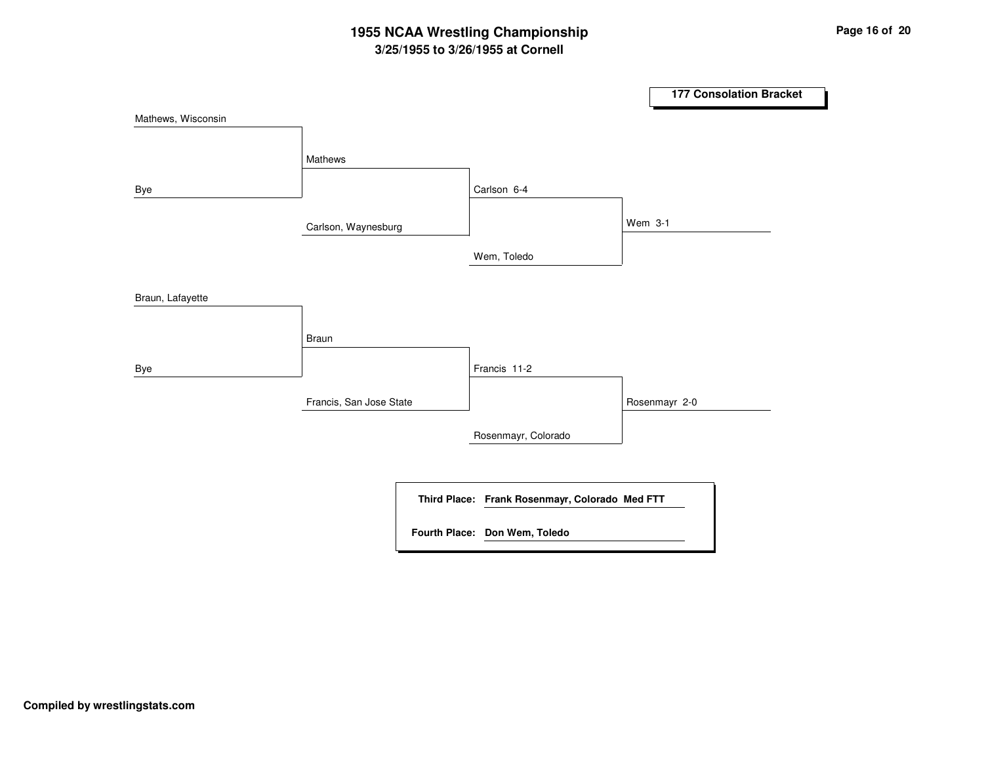# **3/25/1955 to 3/26/1955 at Cornell 1955 NCAA Wrestling Championship Page <sup>16</sup> of <sup>20</sup>**

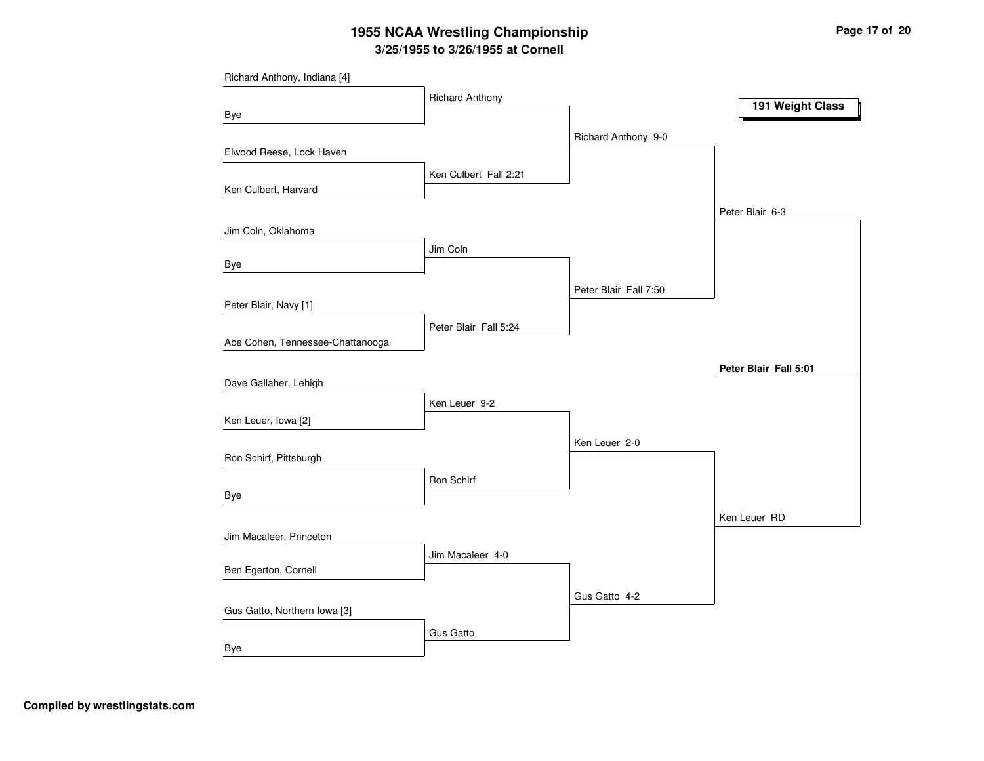# **3/25/1955 to 3/26/1955 at Cornell 1955 NCAA Wrestling Championship Page <sup>17</sup> of <sup>20</sup>**

| Richard Anthony, Indiana [4]     |                        |                       |                       |
|----------------------------------|------------------------|-----------------------|-----------------------|
|                                  | <b>Richard Anthony</b> |                       | 191 Weight Class      |
| Bye                              |                        |                       |                       |
|                                  |                        | Richard Anthony 9-0   |                       |
| Elwood Reese, Lock Haven         |                        |                       |                       |
|                                  | Ken Culbert Fall 2:21  |                       |                       |
| Ken Culbert, Harvard             |                        |                       |                       |
|                                  |                        |                       | Peter Blair 6-3       |
| Jim Coln, Oklahoma               |                        |                       |                       |
|                                  | Jim Coln               |                       |                       |
| Bye                              |                        |                       |                       |
|                                  |                        | Peter Blair Fall 7:50 |                       |
| Peter Blair, Navy [1]            |                        |                       |                       |
|                                  | Peter Blair Fall 5:24  |                       |                       |
| Abe Cohen, Tennessee-Chattanooga |                        |                       |                       |
|                                  |                        |                       | Peter Blair Fall 5:01 |
| Dave Gallaher, Lehigh            |                        |                       |                       |
|                                  | Ken Leuer 9-2          |                       |                       |
| Ken Leuer, Iowa [2]              |                        |                       |                       |
| Ron Schirf, Pittsburgh           |                        | Ken Leuer 2-0         |                       |
|                                  |                        |                       |                       |
| Bye                              | Ron Schirf             |                       |                       |
|                                  |                        |                       |                       |
| Jim Macaleer, Princeton          |                        |                       | Ken Leuer RD          |
|                                  | Jim Macaleer 4-0       |                       |                       |
| Ben Egerton, Cornell             |                        |                       |                       |
|                                  |                        |                       |                       |
| Gus Gatto, Northern Iowa [3]     |                        | Gus Gatto 4-2         |                       |
|                                  |                        |                       |                       |
| Bye                              | <b>Gus Gatto</b>       |                       |                       |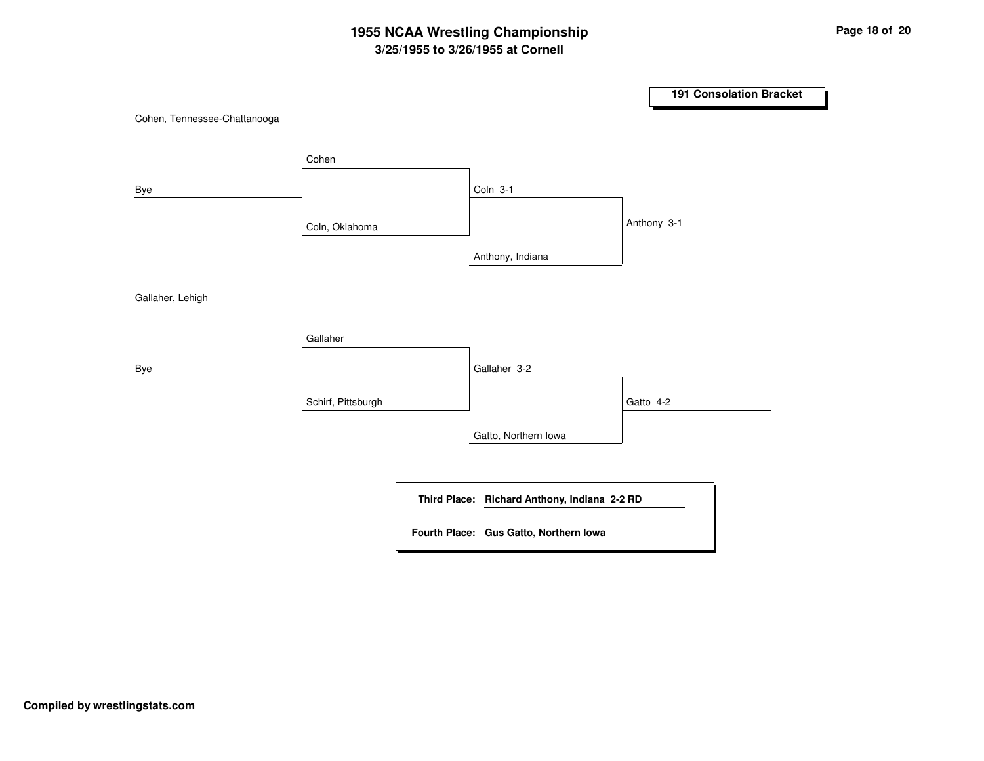# **3/25/1955 to 3/26/1955 at Cornell 1955 NCAA Wrestling Championship Page <sup>18</sup> of <sup>20</sup>**

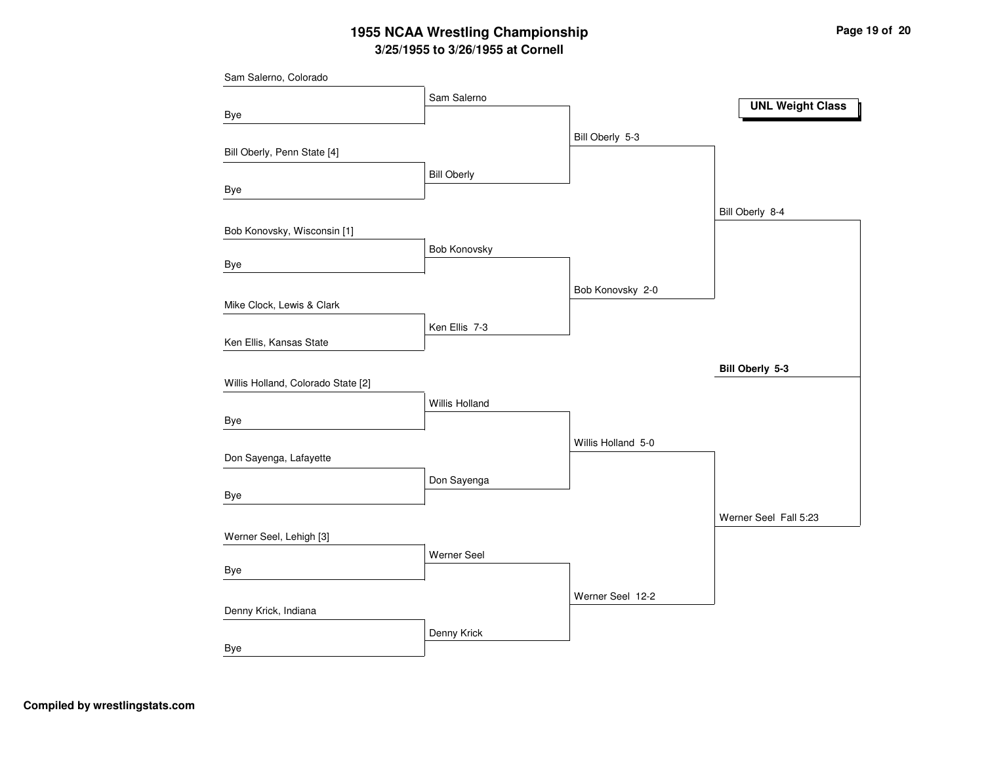# **3/25/1955 to 3/26/1955 at Cornell 1955 NCAA Wrestling Championship Page <sup>19</sup> of <sup>20</sup>**

| Sam Salerno, Colorado              |                    |                    |                         |
|------------------------------------|--------------------|--------------------|-------------------------|
|                                    | Sam Salerno        |                    | <b>UNL Weight Class</b> |
| Bye                                |                    |                    |                         |
|                                    |                    | Bill Oberly 5-3    |                         |
| Bill Oberly, Penn State [4]        |                    |                    |                         |
|                                    | <b>Bill Oberly</b> |                    |                         |
| Bye                                |                    |                    |                         |
|                                    |                    |                    | Bill Oberly 8-4         |
| Bob Konovsky, Wisconsin [1]        |                    |                    |                         |
| Bye                                | Bob Konovsky       |                    |                         |
|                                    |                    |                    |                         |
| Mike Clock, Lewis & Clark          |                    | Bob Konovsky 2-0   |                         |
|                                    |                    |                    |                         |
| Ken Ellis, Kansas State            | Ken Ellis 7-3      |                    |                         |
|                                    |                    |                    |                         |
| Willis Holland, Colorado State [2] |                    |                    | Bill Oberly 5-3         |
|                                    | Willis Holland     |                    |                         |
| Bye                                |                    |                    |                         |
|                                    |                    | Willis Holland 5-0 |                         |
| Don Sayenga, Lafayette             |                    |                    |                         |
|                                    | Don Sayenga        |                    |                         |
| <b>Bye</b>                         |                    |                    |                         |
|                                    |                    |                    | Werner Seel Fall 5:23   |
| Werner Seel, Lehigh [3]            |                    |                    |                         |
|                                    | Werner Seel        |                    |                         |
| Bye                                |                    |                    |                         |
|                                    |                    | Werner Seel 12-2   |                         |
| Denny Krick, Indiana               |                    |                    |                         |
|                                    | Denny Krick        |                    |                         |
| <b>Bye</b>                         |                    |                    |                         |